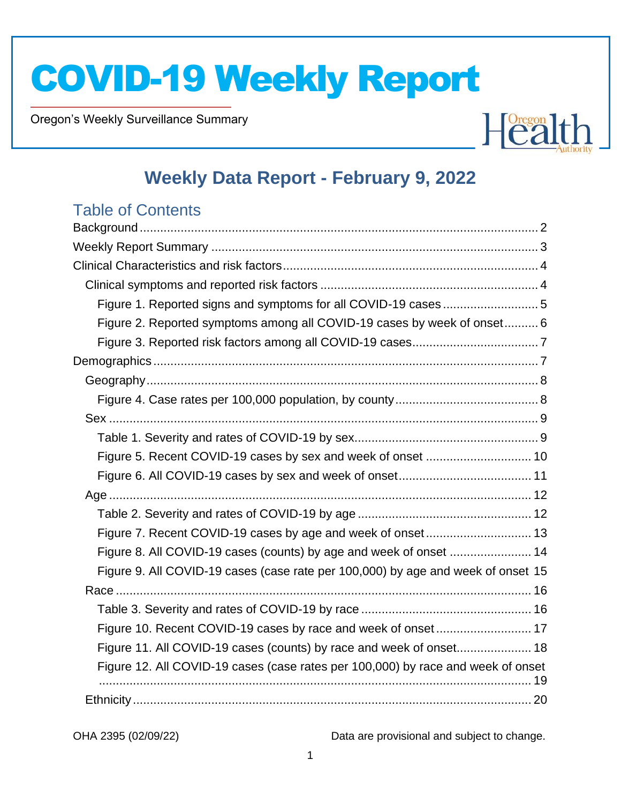Oregon's Weekly Surveillance Summary

Novel Coronavirus (COVID-19)



## **Weekly Data Report - February 9, 2022**

## Table of Contents

| Figure 1. Reported signs and symptoms for all COVID-19 cases 5                   |  |
|----------------------------------------------------------------------------------|--|
| Figure 2. Reported symptoms among all COVID-19 cases by week of onset 6          |  |
|                                                                                  |  |
|                                                                                  |  |
|                                                                                  |  |
|                                                                                  |  |
|                                                                                  |  |
|                                                                                  |  |
|                                                                                  |  |
|                                                                                  |  |
|                                                                                  |  |
|                                                                                  |  |
|                                                                                  |  |
|                                                                                  |  |
| Figure 9. All COVID-19 cases (case rate per 100,000) by age and week of onset 15 |  |
|                                                                                  |  |
|                                                                                  |  |
| Figure 10. Recent COVID-19 cases by race and week of onset 17                    |  |
| Figure 11. All COVID-19 cases (counts) by race and week of onset 18              |  |
| Figure 12. All COVID-19 cases (case rates per 100,000) by race and week of onset |  |
|                                                                                  |  |
|                                                                                  |  |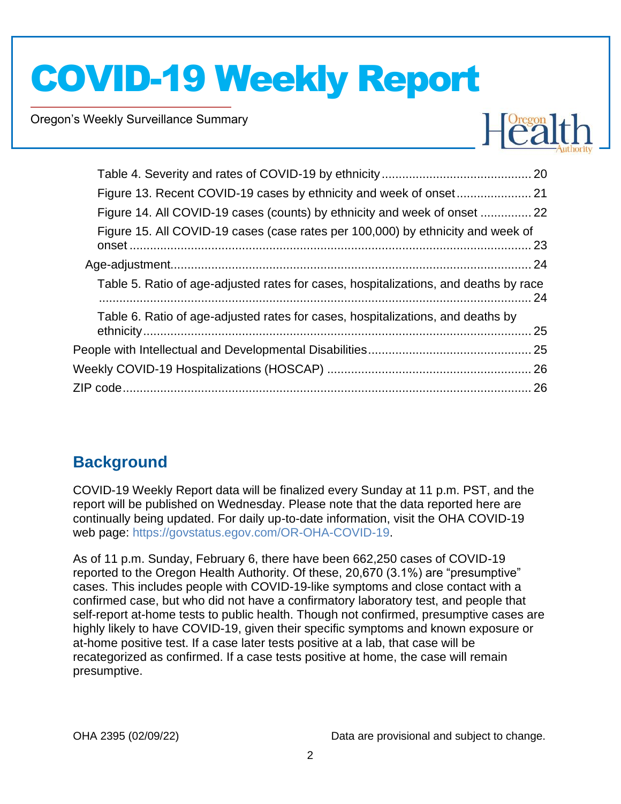Oregon's Weekly Surveillance Summary

Novel Coronavirus (COVID-19)



| Figure 14. All COVID-19 cases (counts) by ethnicity and week of onset  22            |  |
|--------------------------------------------------------------------------------------|--|
| Figure 15. All COVID-19 cases (case rates per 100,000) by ethnicity and week of      |  |
|                                                                                      |  |
| Table 5. Ratio of age-adjusted rates for cases, hospitalizations, and deaths by race |  |
| Table 6. Ratio of age-adjusted rates for cases, hospitalizations, and deaths by      |  |
|                                                                                      |  |
|                                                                                      |  |
|                                                                                      |  |
|                                                                                      |  |

## <span id="page-1-0"></span>**Background**

COVID-19 Weekly Report data will be finalized every Sunday at 11 p.m. PST, and the report will be published on Wednesday. Please note that the data reported here are continually being updated. For daily up-to-date information, visit the OHA COVID-19 web page: [https://govstatus.egov.com/OR-OHA-COVID-19.](https://govstatus.egov.com/OR-OHA-COVID-19)

As of 11 p.m. Sunday, February 6, there have been 662,250 cases of COVID-19 reported to the Oregon Health Authority. Of these, 20,670 (3.1%) are "presumptive" cases. This includes people with COVID-19-like symptoms and close contact with a confirmed case, but who did not have a confirmatory laboratory test, and people that self-report at-home tests to public health. Though not confirmed, presumptive cases are highly likely to have COVID-19, given their specific symptoms and known exposure or at-home positive test. If a case later tests positive at a lab, that case will be recategorized as confirmed. If a case tests positive at home, the case will remain presumptive.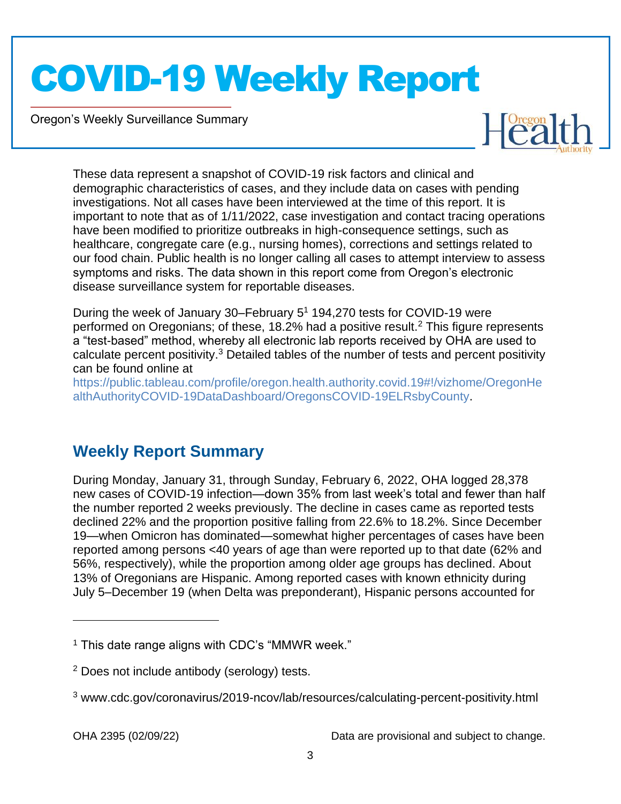Oregon's Weekly Surveillance Summary

Novel Coronavirus (COVID-19)



These data represent a snapshot of COVID-19 risk factors and clinical and demographic characteristics of cases, and they include data on cases with pending investigations. Not all cases have been interviewed at the time of this report. It is important to note that as of 1/11/2022, case investigation and contact tracing operations have been modified to prioritize outbreaks in high-consequence settings, such as healthcare, congregate care (e.g., nursing homes), corrections and settings related to our food chain. Public health is no longer calling all cases to attempt interview to assess symptoms and risks. The data shown in this report come from Oregon's electronic disease surveillance system for reportable diseases.

During the week of January 30–February 5<sup>1</sup> 194,270 tests for COVID-19 were performed on Oregonians; of these, 18.2% had a positive result.<sup>2</sup> This figure represents a "test-based" method, whereby all electronic lab reports received by OHA are used to calculate percent positivity.<sup>3</sup> Detailed tables of the number of tests and percent positivity can be found online at

[https://public.tableau.com/profile/oregon.health.authority.covid.19#!/vizhome/OregonHe](https://public.tableau.com/profile/oregon.health.authority.covid.19#!/vizhome/OregonHealthAuthorityCOVID-19DataDashboard/OregonsCOVID-19ELRsbyCounty) [althAuthorityCOVID-19DataDashboard/OregonsCOVID-19ELRsbyCounty.](https://public.tableau.com/profile/oregon.health.authority.covid.19#!/vizhome/OregonHealthAuthorityCOVID-19DataDashboard/OregonsCOVID-19ELRsbyCounty)

## <span id="page-2-0"></span>**Weekly Report Summary**

During Monday, January 31, through Sunday, February 6, 2022, OHA logged 28,378 new cases of COVID-19 infection—down 35% from last week's total and fewer than half the number reported 2 weeks previously. The decline in cases came as reported tests declined 22% and the proportion positive falling from 22.6% to 18.2%. Since December 19—when Omicron has dominated—somewhat higher percentages of cases have been reported among persons <40 years of age than were reported up to that date (62% and 56%, respectively), while the proportion among older age groups has declined. About 13% of Oregonians are Hispanic. Among reported cases with known ethnicity during July 5–December 19 (when Delta was preponderant), Hispanic persons accounted for

 $<sup>1</sup>$  This date range aligns with CDC's "MMWR week."</sup>

<sup>2</sup> Does not include antibody (serology) tests.

<sup>3</sup> www.cdc.gov/coronavirus/2019-ncov/lab/resources/calculating-percent-positivity.html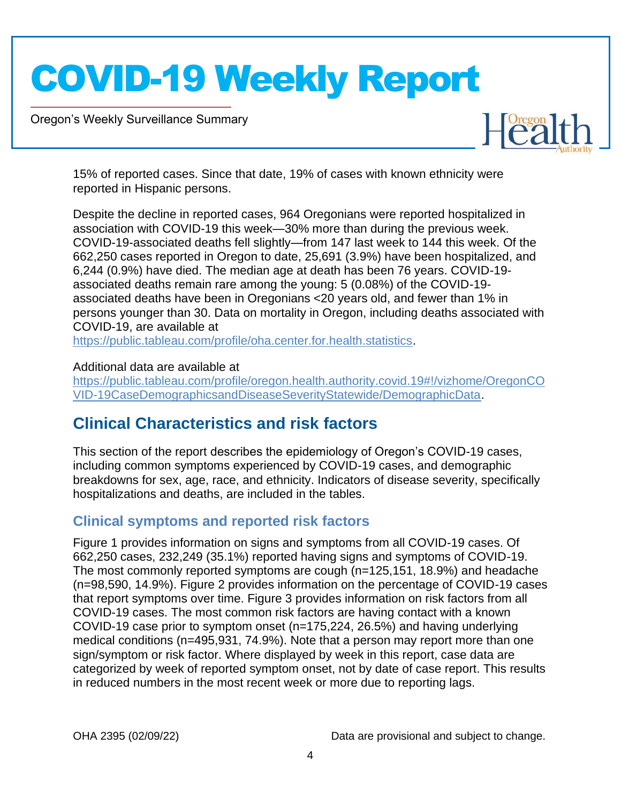Oregon's Weekly Surveillance Summary

Novel Coronavirus (COVID-19)



15% of reported cases. Since that date, 19% of cases with known ethnicity were reported in Hispanic persons.

Despite the decline in reported cases, 964 Oregonians were reported hospitalized in association with COVID-19 this week—30% more than during the previous week. COVID-19-associated deaths fell slightly—from 147 last week to 144 this week. Of the 662,250 cases reported in Oregon to date, 25,691 (3.9%) have been hospitalized, and 6,244 (0.9%) have died. The median age at death has been 76 years. COVID-19 associated deaths remain rare among the young: 5 (0.08%) of the COVID-19 associated deaths have been in Oregonians <20 years old, and fewer than 1% in persons younger than 30. Data on mortality in Oregon, including deaths associated with COVID-19, are available at

[https://public.tableau.com/profile/oha.center.for.health.statistics.](https://public.tableau.com/profile/oha.center.for.health.statistics)

### Additional data are available at

[https://public.tableau.com/profile/oregon.health.authority.covid.19#!/vizhome/OregonCO](https://public.tableau.com/profile/oregon.health.authority.covid.19#!/vizhome/OregonCOVID-19CaseDemographicsandDiseaseSeverityStatewide/DemographicData) [VID-19CaseDemographicsandDiseaseSeverityStatewide/DemographicData.](https://public.tableau.com/profile/oregon.health.authority.covid.19#!/vizhome/OregonCOVID-19CaseDemographicsandDiseaseSeverityStatewide/DemographicData)

## <span id="page-3-0"></span>**Clinical Characteristics and risk factors**

This section of the report describes the epidemiology of Oregon's COVID-19 cases, including common symptoms experienced by COVID-19 cases, and demographic breakdowns for sex, age, race, and ethnicity. Indicators of disease severity, specifically hospitalizations and deaths, are included in the tables.

### <span id="page-3-1"></span>**Clinical symptoms and reported risk factors**

Figure 1 provides information on signs and symptoms from all COVID-19 cases. Of 662,250 cases, 232,249 (35.1%) reported having signs and symptoms of COVID-19. The most commonly reported symptoms are cough (n=125,151, 18.9%) and headache (n=98,590, 14.9%). Figure 2 provides information on the percentage of COVID-19 cases that report symptoms over time. Figure 3 provides information on risk factors from all COVID-19 cases. The most common risk factors are having contact with a known COVID-19 case prior to symptom onset (n=175,224, 26.5%) and having underlying medical conditions (n=495,931, 74.9%). Note that a person may report more than one sign/symptom or risk factor. Where displayed by week in this report, case data are categorized by week of reported symptom onset, not by date of case report. This results in reduced numbers in the most recent week or more due to reporting lags.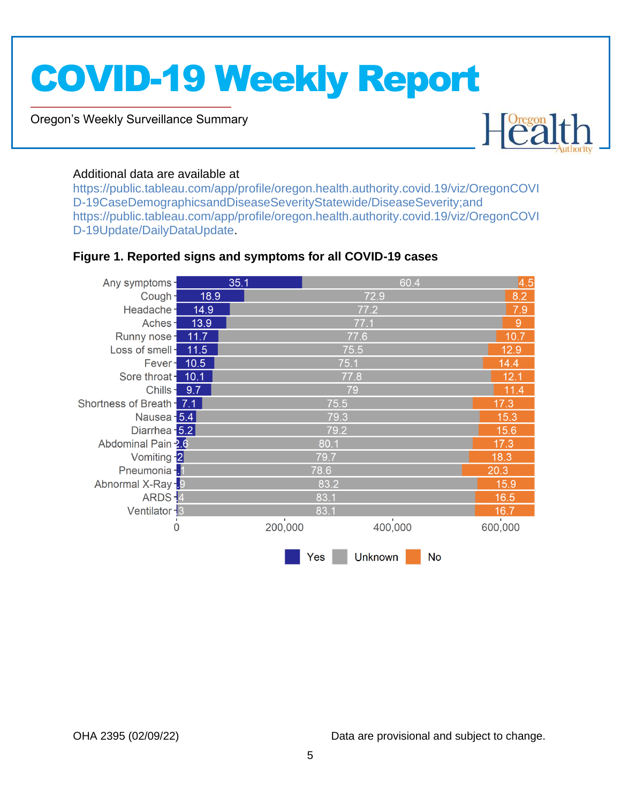Oregon's Weekly Surveillance Summary

Novel Coronavirus (COVID-19)



### Additional data are available at

[https://public.tableau.com/app/profile/oregon.health.authority.covid.19/viz/OregonCOVI](https://public.tableau.com/app/profile/oregon.health.authority.covid.19/viz/OregonCOVID-19CaseDemographicsandDiseaseSeverityStatewide/DiseaseSeverity;and) [D-19CaseDemographicsandDiseaseSeverityStatewide/DiseaseSeverity;and](https://public.tableau.com/app/profile/oregon.health.authority.covid.19/viz/OregonCOVID-19CaseDemographicsandDiseaseSeverityStatewide/DiseaseSeverity;and) [https://public.tableau.com/app/profile/oregon.health.authority.covid.19/viz/OregonCOVI](https://public.tableau.com/app/profile/oregon.health.authority.covid.19/viz/OregonCOVID-19Update/DailyDataUpdate) [D-19Update/DailyDataUpdate.](https://public.tableau.com/app/profile/oregon.health.authority.covid.19/viz/OregonCOVID-19Update/DailyDataUpdate)

### <span id="page-4-0"></span>**Figure 1. Reported signs and symptoms for all COVID-19 cases**

| Any symptoms-             |      | 35.1    |      | 60.4           |           | 4.5     |  |
|---------------------------|------|---------|------|----------------|-----------|---------|--|
| Cough-                    | 18.9 |         |      | 72.9           |           | 8.2     |  |
| Headache-                 | 14.9 |         |      | 77.2           |           |         |  |
| Aches-                    | 13.9 |         |      | 77.1           |           | 9       |  |
| Runny nose-               | 11.7 |         |      | 77.6           |           | 10.7    |  |
| Loss of smell-            | 11.5 |         | 75.5 |                |           | 12.9    |  |
| Fever-                    | 10.5 |         | 75.1 |                |           | 14.4    |  |
| Sore throat -             | 10.1 |         | 77.8 |                |           | 12.1    |  |
| Chills-                   | 9.7  |         | 79   |                |           | 11.4    |  |
| Shortness of Breath - 7.1 |      |         | 75.5 |                |           | 17.3    |  |
| Nausea - 5.4              |      |         | 79.3 |                |           | 15.3    |  |
| Diarrhea - 5.2            |      |         |      | 15.6           |           |         |  |
| Abdominal Pain 2.6        |      | 80.1    |      |                |           |         |  |
| Vomiting -2               |      | 79.7    |      |                |           |         |  |
| Pneumonia - 1             |      |         | 78.6 |                |           | 20.3    |  |
| Abnormal X-Ray -. 9       |      |         | 83.2 |                |           | 15.9    |  |
| ARDS-4                    |      |         | 83.1 |                |           | 16.5    |  |
| Ventilator - 3            |      |         | 83.1 |                |           | 16.7    |  |
| $\mathbf 0$               |      | 200,000 |      | 400,000        |           | 600,000 |  |
|                           |      |         | Yes  | <b>Unknown</b> | <b>No</b> |         |  |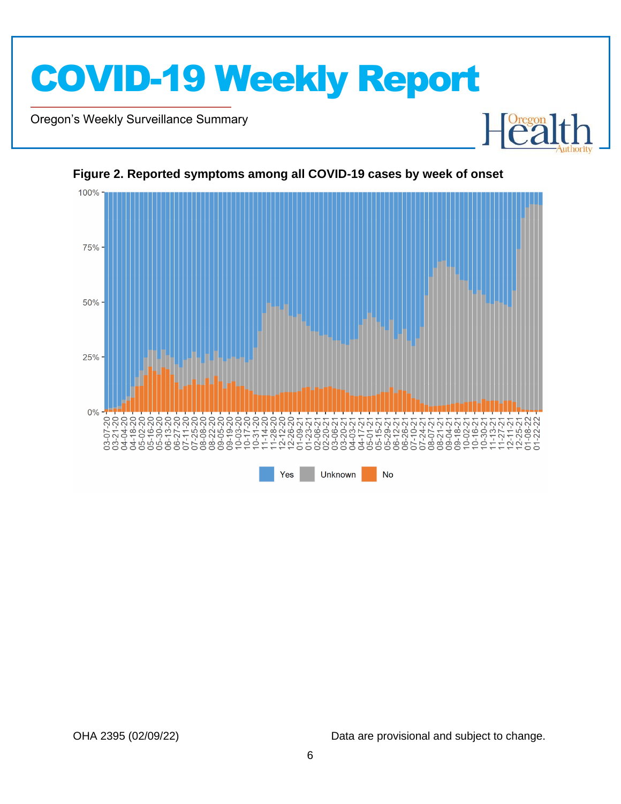

Oregon's Weekly Surveillance Summary

Novel Coronavirus (COVID-19)



#### <span id="page-5-0"></span>**Figure 2. Reported symptoms among all COVID-19 cases by week of onset**

OHA 2395 (02/09/22) Data are provisional and subject to change.

Healt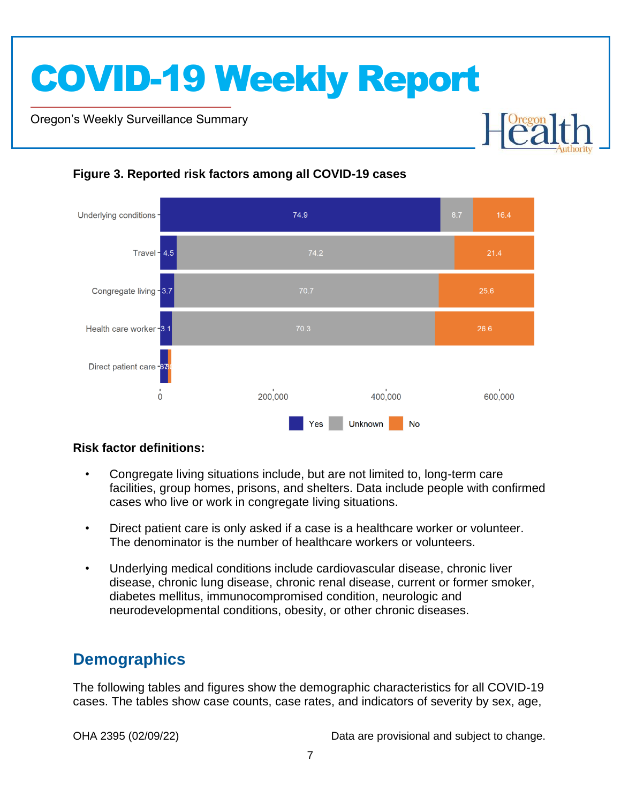Oregon's Weekly Surveillance Summary

Novel Coronavirus (COVID-19)



### <span id="page-6-0"></span>**Figure 3. Reported risk factors among all COVID-19 cases**

### **Risk factor definitions:**

- Congregate living situations include, but are not limited to, long-term care facilities, group homes, prisons, and shelters. Data include people with confirmed cases who live or work in congregate living situations.
- Direct patient care is only asked if a case is a healthcare worker or volunteer. The denominator is the number of healthcare workers or volunteers.
- Underlying medical conditions include cardiovascular disease, chronic liver disease, chronic lung disease, chronic renal disease, current or former smoker, diabetes mellitus, immunocompromised condition, neurologic and neurodevelopmental conditions, obesity, or other chronic diseases.

## <span id="page-6-1"></span>**Demographics**

The following tables and figures show the demographic characteristics for all COVID-19 cases. The tables show case counts, case rates, and indicators of severity by sex, age,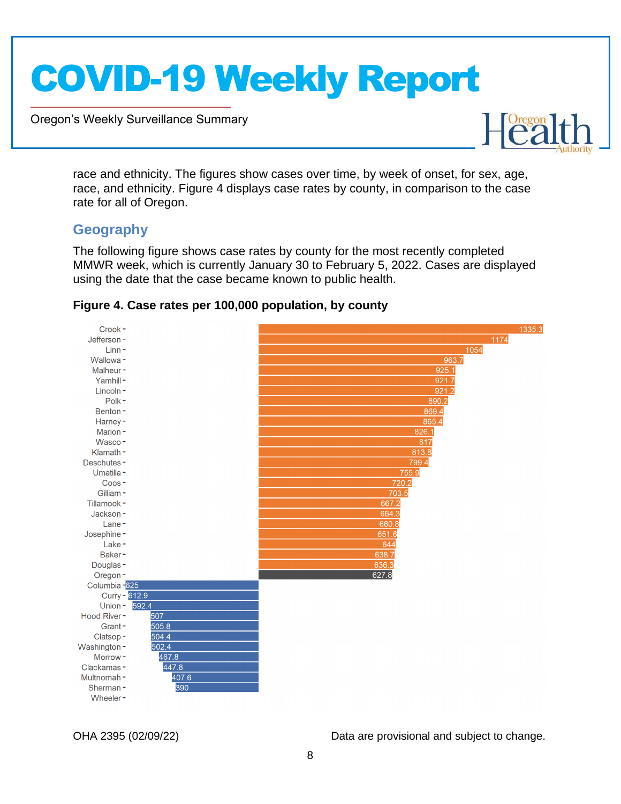Oregon's Weekly Surveillance Summary



race and ethnicity. The figures show cases over time, by week of onset, for sex, age, race, and ethnicity. Figure 4 displays case rates by county, in comparison to the case rate for all of Oregon.

### <span id="page-7-0"></span>**Geography**

Novel Coronavirus (COVID-19)

The following figure shows case rates by county for the most recently completed MMWR week, which is currently January 30 to February 5, 2022. Cases are displayed using the date that the case became known to public health.



### <span id="page-7-1"></span>**Figure 4. Case rates per 100,000 population, by county**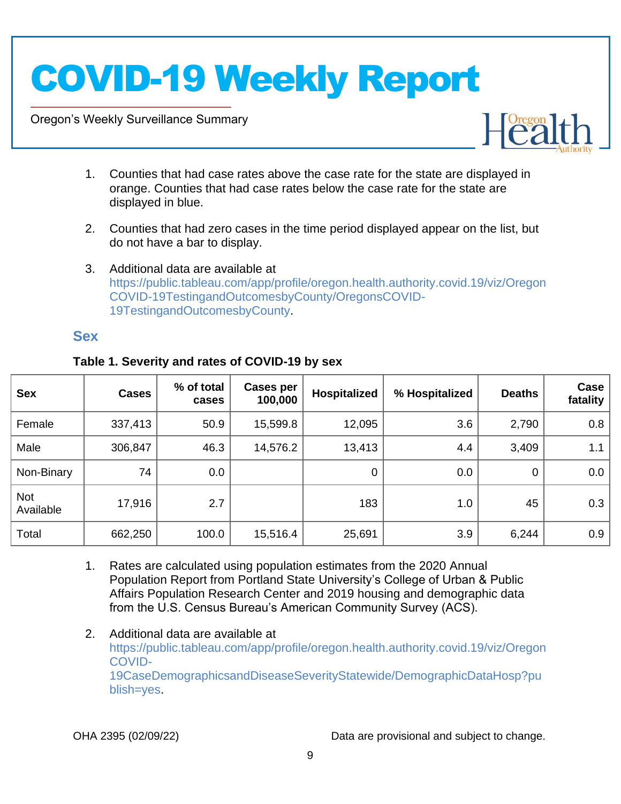Oregon's Weekly Surveillance Summary

Novel Coronavirus (COVID-19)



- 1. Counties that had case rates above the case rate for the state are displayed in orange. Counties that had case rates below the case rate for the state are displayed in blue.
- 2. Counties that had zero cases in the time period displayed appear on the list, but do not have a bar to display.
- 3. Additional data are available at [https://public.tableau.com/app/profile/oregon.health.authority.covid.19/viz/Oregon](https://public.tableau.com/app/profile/oregon.health.authority.covid.19/viz/OregonCOVID-19TestingandOutcomesbyCounty/OregonsCOVID-19TestingandOutcomesbyCounty) [COVID-19TestingandOutcomesbyCounty/OregonsCOVID-](https://public.tableau.com/app/profile/oregon.health.authority.covid.19/viz/OregonCOVID-19TestingandOutcomesbyCounty/OregonsCOVID-19TestingandOutcomesbyCounty)[19TestingandOutcomesbyCounty.](https://public.tableau.com/app/profile/oregon.health.authority.covid.19/viz/OregonCOVID-19TestingandOutcomesbyCounty/OregonsCOVID-19TestingandOutcomesbyCounty)

### <span id="page-8-0"></span>**Sex**

| <b>Sex</b>              | <b>Cases</b> | % of total<br>cases | Cases per<br>100,000 | Hospitalized | % Hospitalized | <b>Deaths</b> | Case<br>fatality |
|-------------------------|--------------|---------------------|----------------------|--------------|----------------|---------------|------------------|
| Female                  | 337,413      | 50.9                | 15,599.8             | 12,095       | 3.6            | 2,790         | 0.8              |
| Male                    | 306,847      | 46.3                | 14,576.2             | 13,413       | 4.4            | 3,409         | 1.1              |
| Non-Binary              | 74           | 0.0                 |                      | $\mathbf 0$  | 0.0            | $\mathbf 0$   | 0.0              |
| <b>Not</b><br>Available | 17,916       | 2.7                 |                      | 183          | 1.0            | 45            | 0.3              |
| Total                   | 662,250      | 100.0               | 15,516.4             | 25,691       | 3.9            | 6,244         | 0.9              |

### <span id="page-8-1"></span>**Table 1. Severity and rates of COVID-19 by sex**

- 1. Rates are calculated using population estimates from the 2020 Annual Population Report from Portland State University's College of Urban & Public Affairs Population Research Center and 2019 housing and demographic data from the U.S. Census Bureau's American Community Survey (ACS).
- 2. Additional data are available at [https://public.tableau.com/app/profile/oregon.health.authority.covid.19/viz/Oregon](https://public.tableau.com/app/profile/oregon.health.authority.covid.19/viz/OregonCOVID-19CaseDemographicsandDiseaseSeverityStatewide/DemographicDataHosp?publish=yes) [COVID-](https://public.tableau.com/app/profile/oregon.health.authority.covid.19/viz/OregonCOVID-19CaseDemographicsandDiseaseSeverityStatewide/DemographicDataHosp?publish=yes)[19CaseDemographicsandDiseaseSeverityStatewide/DemographicDataHosp?pu](https://public.tableau.com/app/profile/oregon.health.authority.covid.19/viz/OregonCOVID-19CaseDemographicsandDiseaseSeverityStatewide/DemographicDataHosp?publish=yes) [blish=yes.](https://public.tableau.com/app/profile/oregon.health.authority.covid.19/viz/OregonCOVID-19CaseDemographicsandDiseaseSeverityStatewide/DemographicDataHosp?publish=yes)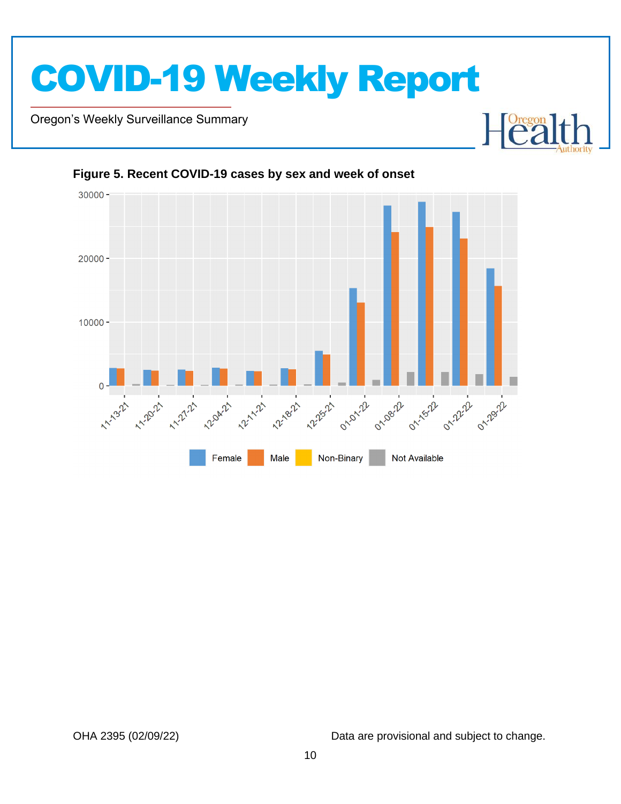

Oregon's Weekly Surveillance Summary

Novel Coronavirus (COVID-19)





### <span id="page-9-0"></span>**Figure 5. Recent COVID-19 cases by sex and week of onset**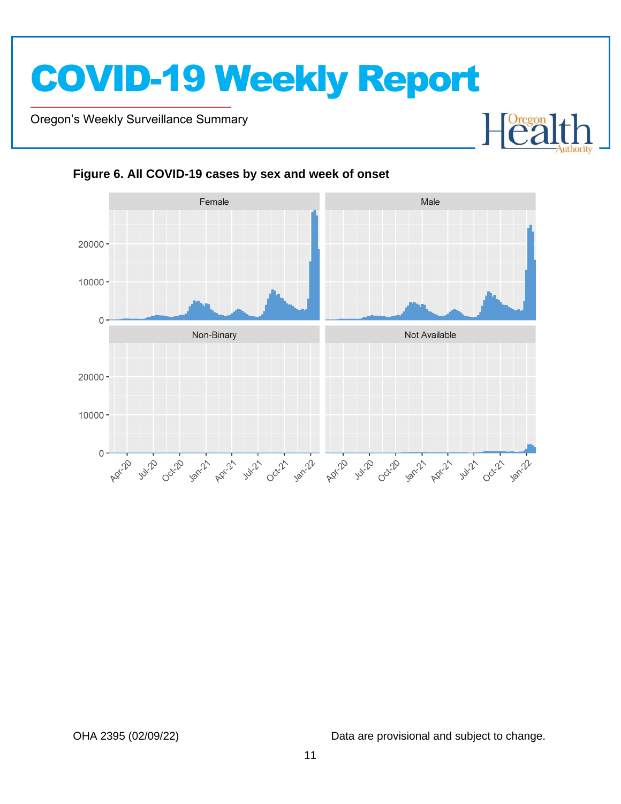Oregon's Weekly Surveillance Summary

Novel Coronavirus (COVID-19)



<span id="page-10-0"></span>**Figure 6. All COVID-19 cases by sex and week of onset**

OHA 2395 (02/09/22) Data are provisional and subject to change.

 $\begin{bmatrix} \text{Oregon} \\ \text{C2} \end{bmatrix}$ 

┠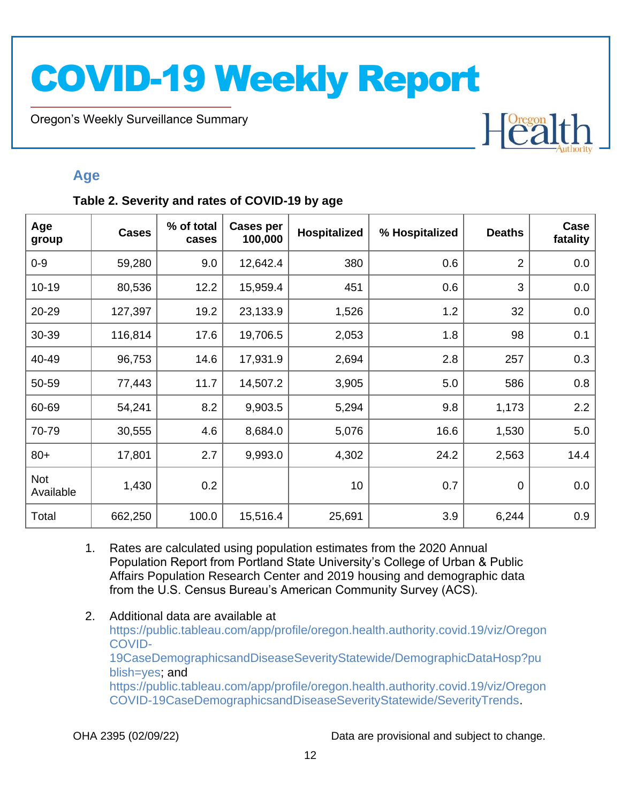Oregon's Weekly Surveillance Summary

Novel Coronavirus (COVID-19)

# Heal

### <span id="page-11-0"></span>**Age**

### <span id="page-11-1"></span>**Table 2. Severity and rates of COVID-19 by age**

| Age<br>group            | <b>Cases</b> | % of total<br>cases | <b>Cases per</b><br>100,000 | Hospitalized | % Hospitalized | <b>Deaths</b>  | Case<br>fatality |
|-------------------------|--------------|---------------------|-----------------------------|--------------|----------------|----------------|------------------|
| $0 - 9$                 | 59,280       | 9.0                 | 12,642.4                    | 380          | 0.6            | $\overline{2}$ | 0.0              |
| $10 - 19$               | 80,536       | 12.2                | 15,959.4                    | 451          | 0.6            | 3              | 0.0              |
| 20-29                   | 127,397      | 19.2                | 23,133.9                    | 1,526        | 1.2            | 32             | 0.0              |
| 30-39                   | 116,814      | 17.6                | 19,706.5                    | 2,053        | 1.8            | 98             | 0.1              |
| 40-49                   | 96,753       | 14.6                | 17,931.9                    | 2,694        | 2.8            | 257            | 0.3              |
| 50-59                   | 77,443       | 11.7                | 14,507.2                    | 3,905        | 5.0            | 586            | 0.8              |
| 60-69                   | 54,241       | 8.2                 | 9,903.5                     | 5,294        | 9.8            | 1,173          | 2.2              |
| 70-79                   | 30,555       | 4.6                 | 8,684.0                     | 5,076        | 16.6           | 1,530          | 5.0              |
| $80+$                   | 17,801       | 2.7                 | 9,993.0                     | 4,302        | 24.2           | 2,563          | 14.4             |
| <b>Not</b><br>Available | 1,430        | 0.2                 |                             | 10           | 0.7            | $\mathbf 0$    | 0.0              |
| Total                   | 662,250      | 100.0               | 15,516.4                    | 25,691       | 3.9            | 6,244          | 0.9              |

- 1. Rates are calculated using population estimates from the 2020 Annual Population Report from Portland State University's College of Urban & Public Affairs Population Research Center and 2019 housing and demographic data from the U.S. Census Bureau's American Community Survey (ACS).
- 2. Additional data are available at [https://public.tableau.com/app/profile/oregon.health.authority.covid.19/viz/Oregon](https://public.tableau.com/app/profile/oregon.health.authority.covid.19/viz/OregonCOVID-19CaseDemographicsandDiseaseSeverityStatewide/DemographicDataHosp?publish=yes) [COVID-](https://public.tableau.com/app/profile/oregon.health.authority.covid.19/viz/OregonCOVID-19CaseDemographicsandDiseaseSeverityStatewide/DemographicDataHosp?publish=yes)[19CaseDemographicsandDiseaseSeverityStatewide/DemographicDataHosp?pu](https://public.tableau.com/app/profile/oregon.health.authority.covid.19/viz/OregonCOVID-19CaseDemographicsandDiseaseSeverityStatewide/DemographicDataHosp?publish=yes) [blish=yes;](https://public.tableau.com/app/profile/oregon.health.authority.covid.19/viz/OregonCOVID-19CaseDemographicsandDiseaseSeverityStatewide/DemographicDataHosp?publish=yes) and [https://public.tableau.com/app/profile/oregon.health.authority.covid.19/viz/Oregon](https://public.tableau.com/app/profile/oregon.health.authority.covid.19/viz/OregonCOVID-19CaseDemographicsandDiseaseSeverityStatewide/SeverityTrends) [COVID-19CaseDemographicsandDiseaseSeverityStatewide/SeverityTrends.](https://public.tableau.com/app/profile/oregon.health.authority.covid.19/viz/OregonCOVID-19CaseDemographicsandDiseaseSeverityStatewide/SeverityTrends)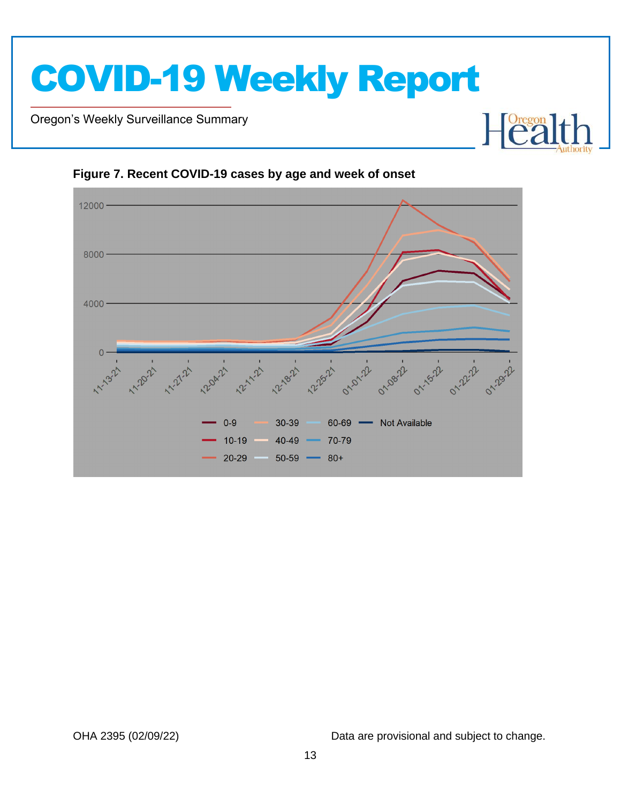

Oregon's Weekly Surveillance Summary

Novel Coronavirus (COVID-19)



<span id="page-12-0"></span>**Figure 7. Recent COVID-19 cases by age and week of onset**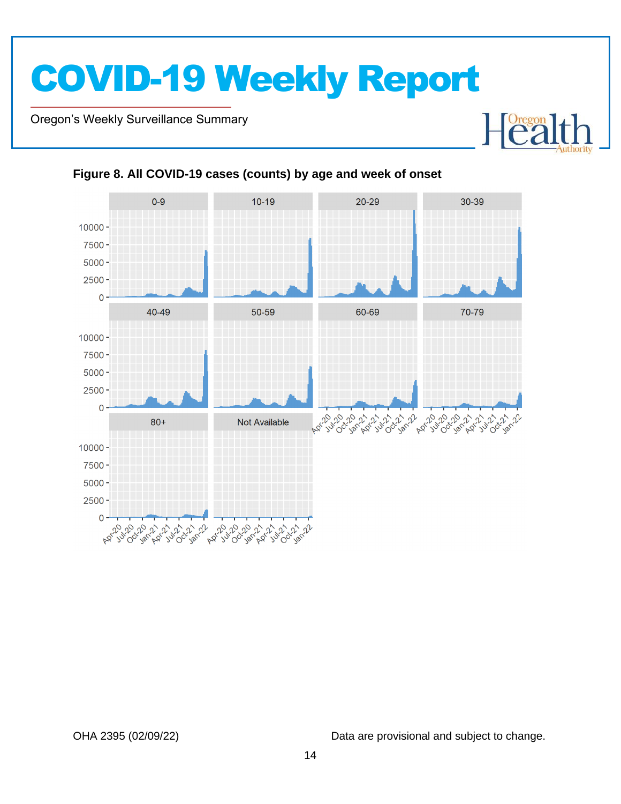Oregon's Weekly Surveillance Summary

Novel Coronavirus (COVID-19)



### <span id="page-13-0"></span>**Figure 8. All COVID-19 cases (counts) by age and week of onset**

OHA 2395 (02/09/22) Data are provisional and subject to change.

Heal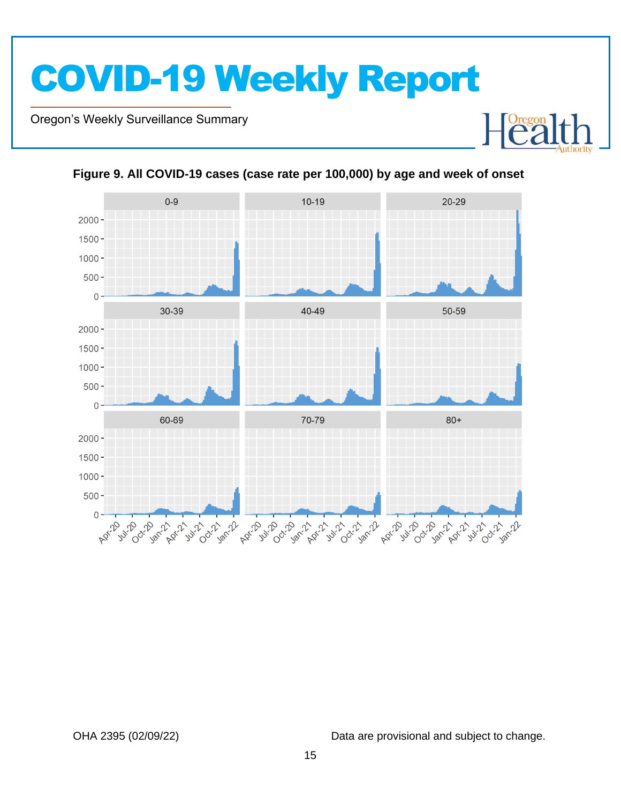Oregon's Weekly Surveillance Summary

Novel Coronavirus (COVID-19)



<span id="page-14-0"></span>**Figure 9. All COVID-19 cases (case rate per 100,000) by age and week of onset**

OHA 2395 (02/09/22) Data are provisional and subject to change.

Heal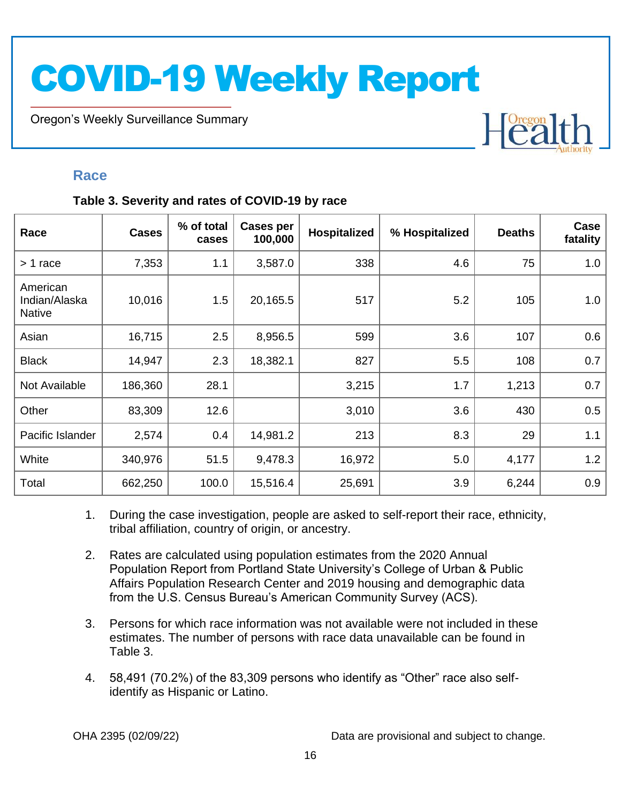Oregon's Weekly Surveillance Summary

# Heal

### <span id="page-15-0"></span>**Race**

Novel Coronavirus (COVID-19)

### <span id="page-15-1"></span>**Table 3. Severity and rates of COVID-19 by race**

| Race                                       | <b>Cases</b> | % of total<br>cases | <b>Cases per</b><br>100,000 | Hospitalized | % Hospitalized | <b>Deaths</b> | Case<br>fatality |
|--------------------------------------------|--------------|---------------------|-----------------------------|--------------|----------------|---------------|------------------|
| > 1 race                                   | 7,353        | 1.1                 | 3,587.0                     | 338          | 4.6            | 75            | 1.0              |
| American<br>Indian/Alaska<br><b>Native</b> | 10,016       | 1.5                 | 20,165.5                    | 517          | 5.2            | 105           | 1.0              |
| Asian                                      | 16,715       | 2.5                 | 8,956.5                     | 599          | 3.6            | 107           | 0.6              |
| <b>Black</b>                               | 14,947       | 2.3                 | 18,382.1                    | 827          | 5.5            | 108           | 0.7              |
| Not Available                              | 186,360      | 28.1                |                             | 3,215        | 1.7            | 1,213         | 0.7              |
| Other                                      | 83,309       | 12.6                |                             | 3,010        | 3.6            | 430           | 0.5              |
| Pacific Islander                           | 2,574        | 0.4                 | 14,981.2                    | 213          | 8.3            | 29            | 1.1              |
| White                                      | 340,976      | 51.5                | 9,478.3                     | 16,972       | 5.0            | 4,177         | 1.2              |
| Total                                      | 662,250      | 100.0               | 15,516.4                    | 25,691       | 3.9            | 6,244         | 0.9              |

- 1. During the case investigation, people are asked to self-report their race, ethnicity, tribal affiliation, country of origin, or ancestry.
- 2. Rates are calculated using population estimates from the 2020 Annual Population Report from Portland State University's College of Urban & Public Affairs Population Research Center and 2019 housing and demographic data from the U.S. Census Bureau's American Community Survey (ACS).
- 3. Persons for which race information was not available were not included in these estimates. The number of persons with race data unavailable can be found in Table 3.
- 4. 58,491 (70.2%) of the 83,309 persons who identify as "Other" race also selfidentify as Hispanic or Latino.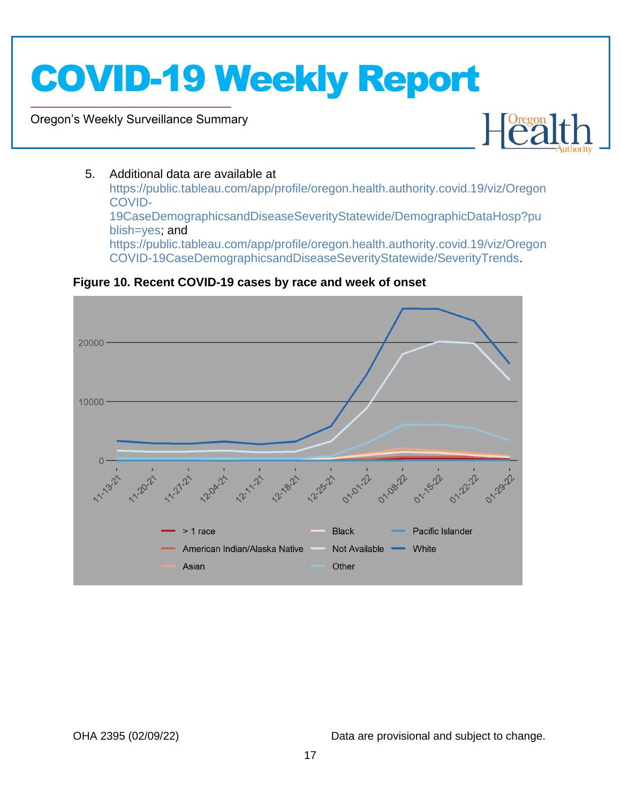Oregon's Weekly Surveillance Summary

Novel Coronavirus (COVID-19)



### 5. Additional data are available at

[https://public.tableau.com/app/profile/oregon.health.authority.covid.19/viz/Oregon](https://public.tableau.com/app/profile/oregon.health.authority.covid.19/viz/OregonCOVID-19CaseDemographicsandDiseaseSeverityStatewide/DemographicDataHosp?publish=yes) [COVID-](https://public.tableau.com/app/profile/oregon.health.authority.covid.19/viz/OregonCOVID-19CaseDemographicsandDiseaseSeverityStatewide/DemographicDataHosp?publish=yes)[19CaseDemographicsandDiseaseSeverityStatewide/DemographicDataHosp?pu](https://public.tableau.com/app/profile/oregon.health.authority.covid.19/viz/OregonCOVID-19CaseDemographicsandDiseaseSeverityStatewide/DemographicDataHosp?publish=yes) [blish=yes;](https://public.tableau.com/app/profile/oregon.health.authority.covid.19/viz/OregonCOVID-19CaseDemographicsandDiseaseSeverityStatewide/DemographicDataHosp?publish=yes) and [https://public.tableau.com/app/profile/oregon.health.authority.covid.19/viz/Oregon](https://public.tableau.com/app/profile/oregon.health.authority.covid.19/viz/OregonCOVID-19CaseDemographicsandDiseaseSeverityStatewide/SeverityTrends) [COVID-19CaseDemographicsandDiseaseSeverityStatewide/SeverityTrends.](https://public.tableau.com/app/profile/oregon.health.authority.covid.19/viz/OregonCOVID-19CaseDemographicsandDiseaseSeverityStatewide/SeverityTrends)

<span id="page-16-0"></span>**Figure 10. Recent COVID-19 cases by race and week of onset**

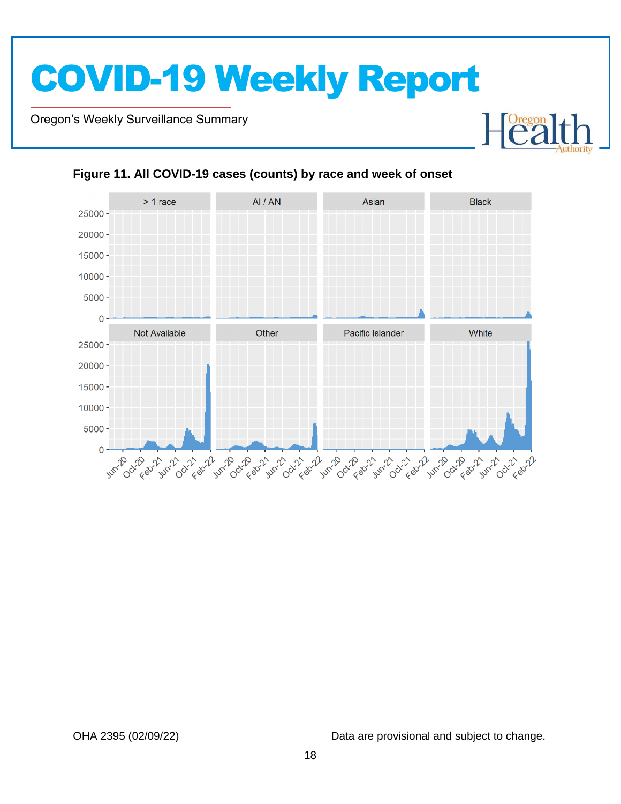Oregon's Weekly Surveillance Summary

Novel Coronavirus (COVID-19)



### <span id="page-17-0"></span>**Figure 11. All COVID-19 cases (counts) by race and week of onset**

OHA 2395 (02/09/22) Data are provisional and subject to change.

Heal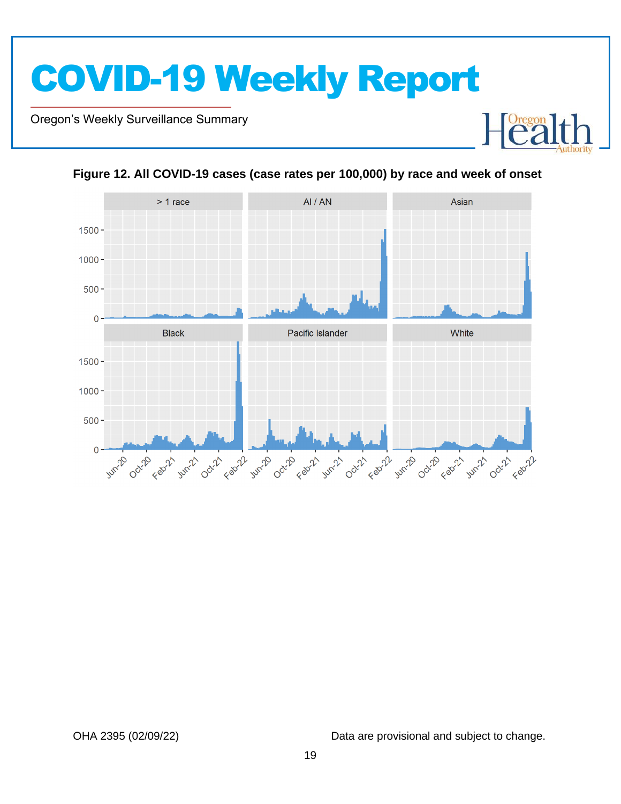Oregon's Weekly Surveillance Summary

Novel Coronavirus (COVID-19)





<span id="page-18-0"></span>**Figure 12. All COVID-19 cases (case rates per 100,000) by race and week of onset**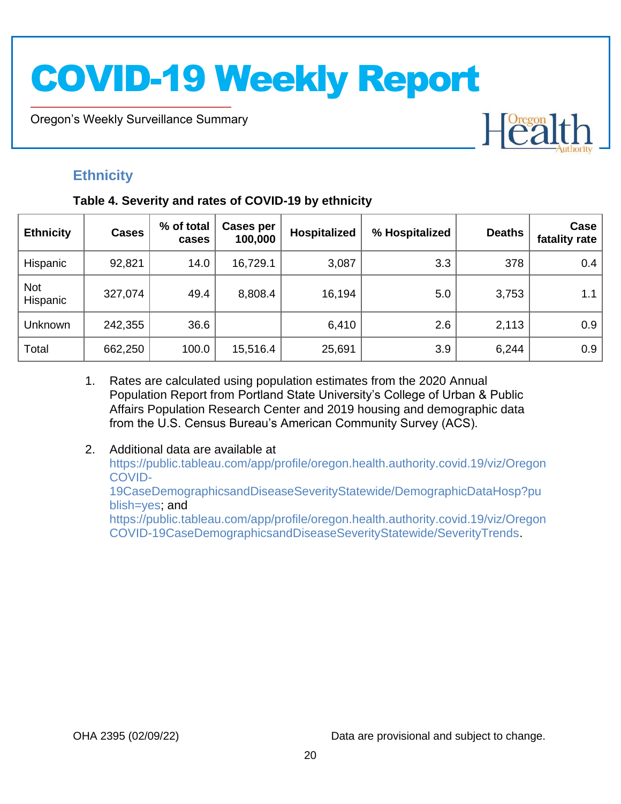Oregon's Weekly Surveillance Summary

### <span id="page-19-0"></span>**Ethnicity**

Novel Coronavirus (COVID-19)

### <span id="page-19-1"></span>**Table 4. Severity and rates of COVID-19 by ethnicity**

| <b>Ethnicity</b>       | <b>Cases</b> | % of total<br>cases | <b>Cases per</b><br>100,000 | Hospitalized | % Hospitalized | <b>Deaths</b> | Case<br>fatality rate |
|------------------------|--------------|---------------------|-----------------------------|--------------|----------------|---------------|-----------------------|
| Hispanic               | 92,821       | 14.0                | 16,729.1                    | 3,087        | 3.3            | 378           | 0.4                   |
| <b>Not</b><br>Hispanic | 327,074      | 49.4                | 8,808.4                     | 16,194       | 5.0            | 3,753         | 1.1                   |
| Unknown                | 242,355      | 36.6                |                             | 6,410        | 2.6            | 2,113         | 0.9                   |
| Total                  | 662,250      | 100.0               | 15,516.4                    | 25,691       | 3.9            | 6,244         | 0.9                   |

- 1. Rates are calculated using population estimates from the 2020 Annual Population Report from Portland State University's College of Urban & Public Affairs Population Research Center and 2019 housing and demographic data from the U.S. Census Bureau's American Community Survey (ACS).
- 2. Additional data are available at [https://public.tableau.com/app/profile/oregon.health.authority.covid.19/viz/Oregon](https://public.tableau.com/app/profile/oregon.health.authority.covid.19/viz/OregonCOVID-19CaseDemographicsandDiseaseSeverityStatewide/DemographicDataHosp?publish=yes) [COVID-](https://public.tableau.com/app/profile/oregon.health.authority.covid.19/viz/OregonCOVID-19CaseDemographicsandDiseaseSeverityStatewide/DemographicDataHosp?publish=yes)[19CaseDemographicsandDiseaseSeverityStatewide/DemographicDataHosp?pu](https://public.tableau.com/app/profile/oregon.health.authority.covid.19/viz/OregonCOVID-19CaseDemographicsandDiseaseSeverityStatewide/DemographicDataHosp?publish=yes) [blish=yes;](https://public.tableau.com/app/profile/oregon.health.authority.covid.19/viz/OregonCOVID-19CaseDemographicsandDiseaseSeverityStatewide/DemographicDataHosp?publish=yes) and [https://public.tableau.com/app/profile/oregon.health.authority.covid.19/viz/Oregon](https://public.tableau.com/app/profile/oregon.health.authority.covid.19/viz/OregonCOVID-19CaseDemographicsandDiseaseSeverityStatewide/SeverityTrends) [COVID-19CaseDemographicsandDiseaseSeverityStatewide/SeverityTrends.](https://public.tableau.com/app/profile/oregon.health.authority.covid.19/viz/OregonCOVID-19CaseDemographicsandDiseaseSeverityStatewide/SeverityTrends)

OHA 2395 (02/09/22) Data are provisional and subject to change.

Heal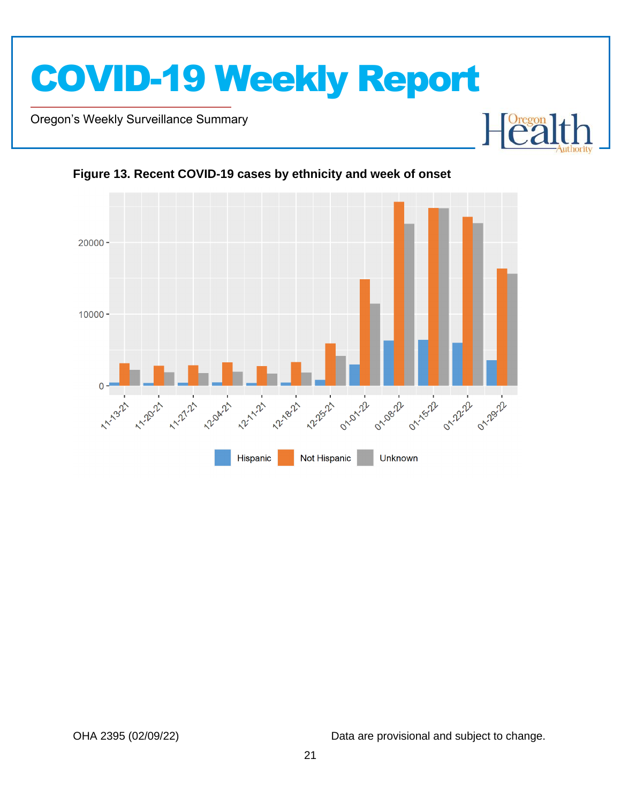

Oregon's Weekly Surveillance Summary

Novel Coronavirus (COVID-19)





<span id="page-20-0"></span>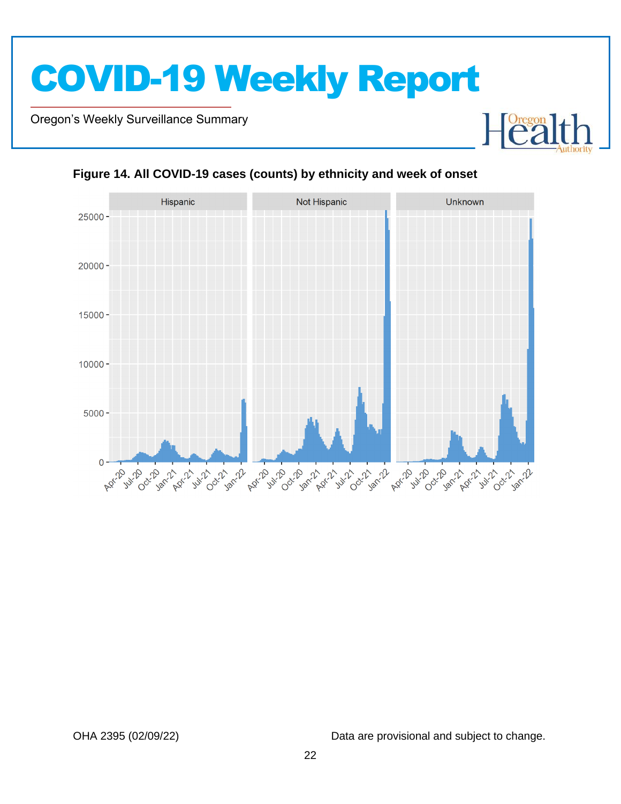Oregon's Weekly Surveillance Summary

Novel Coronavirus (COVID-19)





### <span id="page-21-0"></span>**Figure 14. All COVID-19 cases (counts) by ethnicity and week of onset**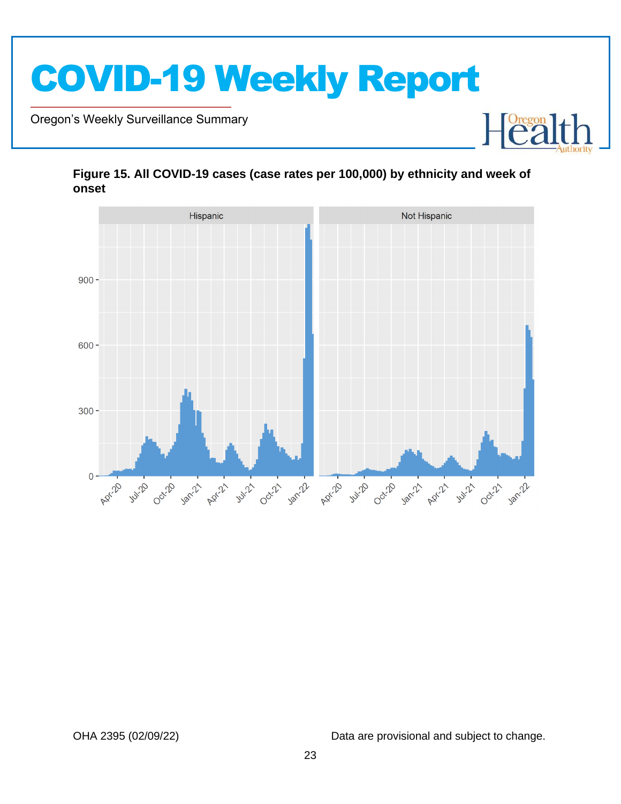

Oregon's Weekly Surveillance Summary

Novel Coronavirus (COVID-19)



### <span id="page-22-0"></span>**Figure 15. All COVID-19 cases (case rates per 100,000) by ethnicity and week of onset**

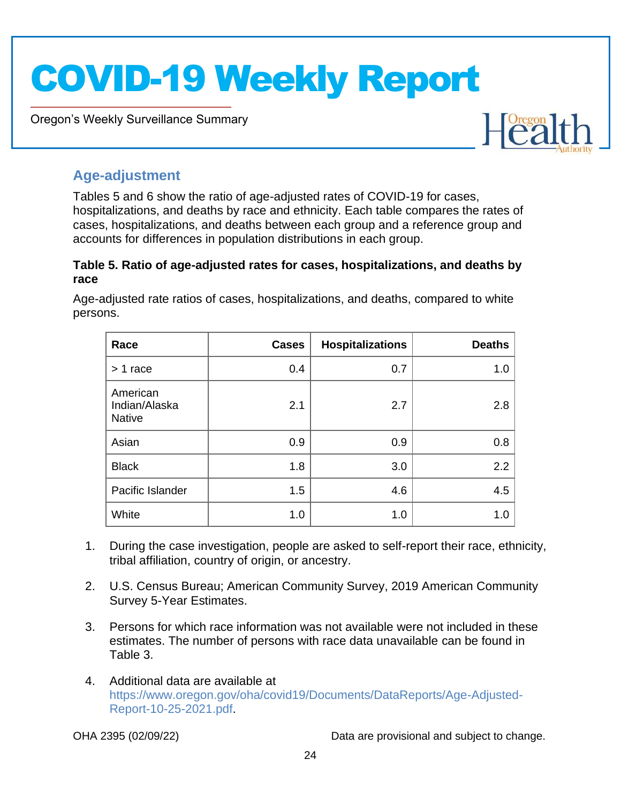Oregon's Weekly Surveillance Summary



### <span id="page-23-0"></span>**Age-adjustment**

Novel Coronavirus (COVID-19)

Tables 5 and 6 show the ratio of age-adjusted rates of COVID-19 for cases, hospitalizations, and deaths by race and ethnicity. Each table compares the rates of cases, hospitalizations, and deaths between each group and a reference group and accounts for differences in population distributions in each group.

### <span id="page-23-1"></span>**Table 5. Ratio of age-adjusted rates for cases, hospitalizations, and deaths by race**

Age-adjusted rate ratios of cases, hospitalizations, and deaths, compared to white persons.

| Race                                       | <b>Cases</b> | <b>Hospitalizations</b> | <b>Deaths</b> |
|--------------------------------------------|--------------|-------------------------|---------------|
| $> 1$ race                                 | 0.4          | 0.7                     | 1.0           |
| American<br>Indian/Alaska<br><b>Native</b> | 2.1          | 2.7                     | 2.8           |
| Asian                                      | 0.9          | 0.9                     | 0.8           |
| <b>Black</b>                               | 1.8          | 3.0                     | 2.2           |
| Pacific Islander                           | 1.5          | 4.6                     | 4.5           |
| White                                      | 1.0          | 1.0                     | 1.0           |

- 1. During the case investigation, people are asked to self-report their race, ethnicity, tribal affiliation, country of origin, or ancestry.
- 2. U.S. Census Bureau; American Community Survey, 2019 American Community Survey 5-Year Estimates.
- 3. Persons for which race information was not available were not included in these estimates. The number of persons with race data unavailable can be found in Table 3.
- 4. Additional data are available at [https://www.oregon.gov/oha/covid19/Documents/DataReports/Age-Adjusted-](https://www.oregon.gov/oha/covid19/Documents/DataReports/Age-Adjusted-Report-10-25-2021.pdf)[Report-10-25-2021.pdf.](https://www.oregon.gov/oha/covid19/Documents/DataReports/Age-Adjusted-Report-10-25-2021.pdf)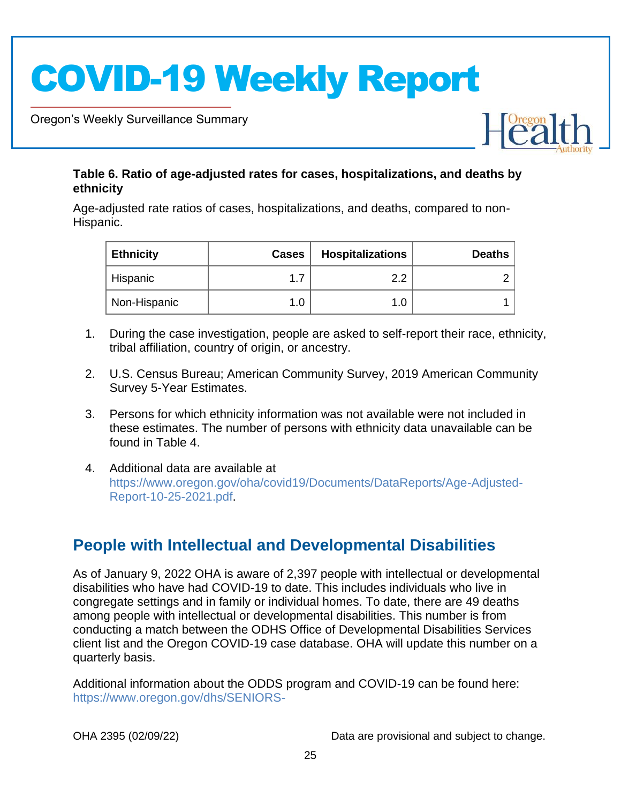Oregon's Weekly Surveillance Summary

Novel Coronavirus (COVID-19)



### <span id="page-24-0"></span>**Table 6. Ratio of age-adjusted rates for cases, hospitalizations, and deaths by ethnicity**

Age-adjusted rate ratios of cases, hospitalizations, and deaths, compared to non-Hispanic.

| <b>Ethnicity</b> | <b>Cases</b> | <b>Hospitalizations</b> | <b>Deaths</b> |
|------------------|--------------|-------------------------|---------------|
| Hispanic         |              | റ റ                     |               |
| Non-Hispanic     |              | 1.0                     |               |

- 1. During the case investigation, people are asked to self-report their race, ethnicity, tribal affiliation, country of origin, or ancestry.
- 2. U.S. Census Bureau; American Community Survey, 2019 American Community Survey 5-Year Estimates.
- 3. Persons for which ethnicity information was not available were not included in these estimates. The number of persons with ethnicity data unavailable can be found in Table 4.
- 4. Additional data are available at [https://www.oregon.gov/oha/covid19/Documents/DataReports/Age-Adjusted-](https://www.oregon.gov/oha/covid19/Documents/DataReports/Age-Adjusted-Report-10-25-2021.pdf)[Report-10-25-2021.pdf.](https://www.oregon.gov/oha/covid19/Documents/DataReports/Age-Adjusted-Report-10-25-2021.pdf)

## <span id="page-24-1"></span>**People with Intellectual and Developmental Disabilities**

As of January 9, 2022 OHA is aware of 2,397 people with intellectual or developmental disabilities who have had COVID-19 to date. This includes individuals who live in congregate settings and in family or individual homes. To date, there are 49 deaths among people with intellectual or developmental disabilities. This number is from conducting a match between the ODHS Office of Developmental Disabilities Services client list and the Oregon COVID-19 case database. OHA will update this number on a quarterly basis.

Additional information about the ODDS program and COVID-19 can be found here: [https://www.oregon.gov/dhs/SENIORS-](https://www.oregon.gov/dhs/SENIORS-DISABILITIES/DD/ODDS%20Resource%20Library/ODDS-Residential-COVID-19-Report.pdf)